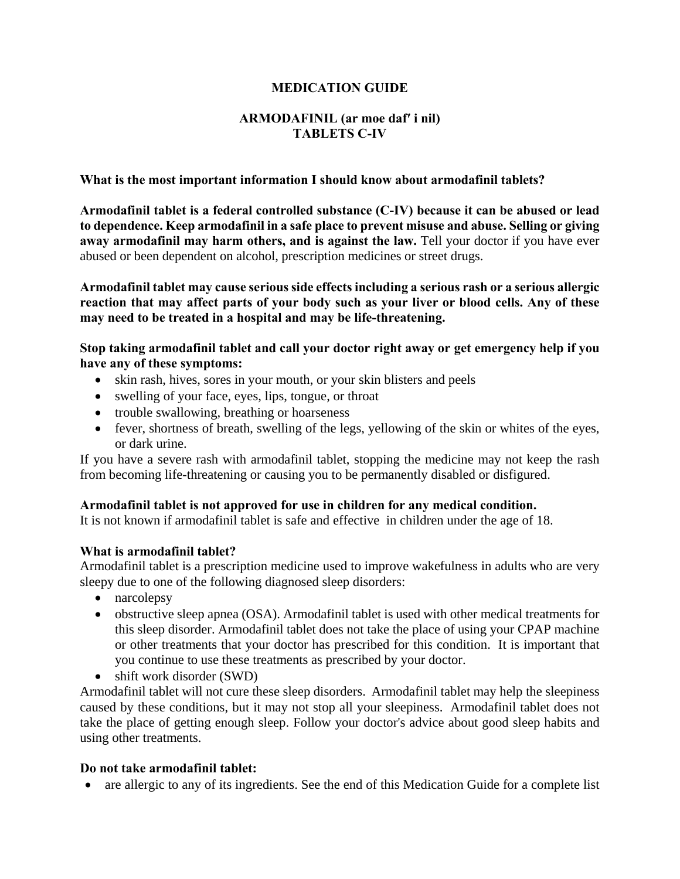### **MEDICATION GUIDE**

### **ARMODAFINIL (ar moe daf′ i nil) TABLETS C-IV**

### **What is the most important information I should know about armodafinil tablets?**

**Armodafinil tablet is a federal controlled substance (C-IV) because it can be abused or lead to dependence. Keep armodafinil in a safe place to prevent misuse and abuse. Selling or giving**  away armodafinil may harm others, and is against the law. Tell your doctor if you have ever abused or been dependent on alcohol, prescription medicines or street drugs.

**Armodafinil tablet may cause serious side effects including a serious rash or a serious allergic reaction that may affect parts of your body such as your liver or blood cells. Any of these may need to be treated in a hospital and may be life-threatening.**

**Stop taking armodafinil tablet and call your doctor right away or get emergency help if you have any of these symptoms:**

- skin rash, hives, sores in your mouth, or your skin blisters and peels
- swelling of your face, eyes, lips, tongue, or throat
- trouble swallowing, breathing or hoarseness
- fever, shortness of breath, swelling of the legs, yellowing of the skin or whites of the eyes, or dark urine.

If you have a severe rash with armodafinil tablet, stopping the medicine may not keep the rash from becoming life-threatening or causing you to be permanently disabled or disfigured.

#### **Armodafinil tablet is not approved for use in children for any medical condition.**

It is not known if armodafinil tablet is safe and effective in children under the age of 18.

#### **What is armodafinil tablet?**

Armodafinil tablet is a prescription medicine used to improve wakefulness in adults who are very sleepy due to one of the following diagnosed sleep disorders:

- narcolepsy
- obstructive sleep apnea (OSA). Armodafinil tablet is used with other medical treatments for this sleep disorder. Armodafinil tablet does not take the place of using your CPAP machine or other treatments that your doctor has prescribed for this condition. It is important that you continue to use these treatments as prescribed by your doctor.
- shift work disorder (SWD)

Armodafinil tablet will not cure these sleep disorders. Armodafinil tablet may help the sleepiness caused by these conditions, but it may not stop all your sleepiness. Armodafinil tablet does not take the place of getting enough sleep. Follow your doctor's advice about good sleep habits and using other treatments.

#### **Do not take armodafinil tablet:**

• are allergic to any of its ingredients. See the end of this Medication Guide for a complete list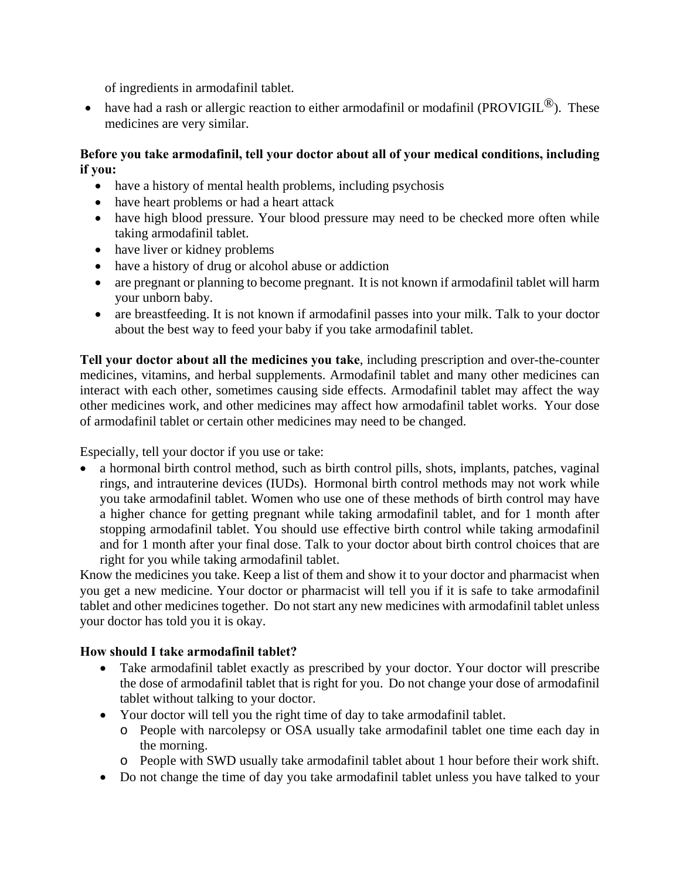of ingredients in armodafinil tablet.

• have had a rash or allergic reaction to either armodafinil or modafinil (PROVIGIL $^{\circledR}$ ). These medicines are very similar.

# **Before you take armodafinil, tell your doctor about all of your medical conditions, including if you:**

- have a history of mental health problems, including psychosis
- have heart problems or had a heart attack
- have high blood pressure. Your blood pressure may need to be checked more often while taking armodafinil tablet.
- have liver or kidney problems
- have a history of drug or alcohol abuse or addiction
- are pregnant or planning to become pregnant. It is not known if armodafinil tablet will harm your unborn baby.
- are breastfeeding. It is not known if armodafinil passes into your milk. Talk to your doctor about the best way to feed your baby if you take armodafinil tablet.

**Tell your doctor about all the medicines you take**, including prescription and over-the-counter medicines, vitamins, and herbal supplements. Armodafinil tablet and many other medicines can interact with each other, sometimes causing side effects. Armodafinil tablet may affect the way other medicines work, and other medicines may affect how armodafinil tablet works. Your dose of armodafinil tablet or certain other medicines may need to be changed.

Especially, tell your doctor if you use or take:

• a hormonal birth control method, such as birth control pills, shots, implants, patches, vaginal rings, and intrauterine devices (IUDs). Hormonal birth control methods may not work while you take armodafinil tablet. Women who use one of these methods of birth control may have a higher chance for getting pregnant while taking armodafinil tablet, and for 1 month after stopping armodafinil tablet. You should use effective birth control while taking armodafinil and for 1 month after your final dose. Talk to your doctor about birth control choices that are right for you while taking armodafinil tablet.

Know the medicines you take. Keep a list of them and show it to your doctor and pharmacist when you get a new medicine. Your doctor or pharmacist will tell you if it is safe to take armodafinil tablet and other medicines together. Do not start any new medicines with armodafinil tablet unless your doctor has told you it is okay.

# **How should I take armodafinil tablet?**

- Take armodafinil tablet exactly as prescribed by your doctor. Your doctor will prescribe the dose of armodafinil tablet that is right for you. Do not change your dose of armodafinil tablet without talking to your doctor.
- Your doctor will tell you the right time of day to take armodafinil tablet.
	- o People with narcolepsy or OSA usually take armodafinil tablet one time each day in the morning.
	- o People with SWD usually take armodafinil tablet about 1 hour before their work shift.
- Do not change the time of day you take armodafinil tablet unless you have talked to your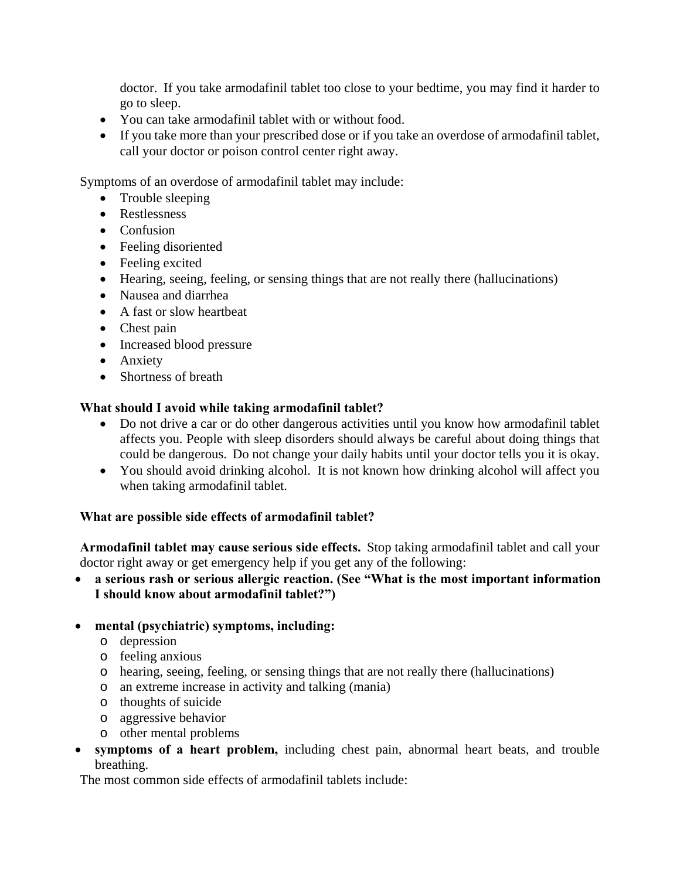doctor. If you take armodafinil tablet too close to your bedtime, you may find it harder to go to sleep.

- You can take armodafinil tablet with or without food.
- If you take more than your prescribed dose or if you take an overdose of armodafinil tablet, call your doctor or poison control center right away.

Symptoms of an overdose of armodafinil tablet may include:

- Trouble sleeping
- Restlessness
- Confusion
- Feeling disoriented
- Feeling excited
- Hearing, seeing, feeling, or sensing things that are not really there (hallucinations)
- Nausea and diarrhea
- A fast or slow heartheat
- Chest pain
- Increased blood pressure
- Anxiety
- Shortness of breath

# **What should I avoid while taking armodafinil tablet?**

- Do not drive a car or do other dangerous activities until you know how armodafinil tablet affects you. People with sleep disorders should always be careful about doing things that could be dangerous. Do not change your daily habits until your doctor tells you it is okay.
- You should avoid drinking alcohol. It is not known how drinking alcohol will affect you when taking armodafinil tablet.

# **What are possible side effects of armodafinil tablet?**

**Armodafinil tablet may cause serious side effects.** Stop taking armodafinil tablet and call your doctor right away or get emergency help if you get any of the following:

 **a serious rash or serious allergic reaction. (See "What is the most important information I should know about armodafinil tablet?")**

# **mental (psychiatric) symptoms, including:**

- o depression
- o feeling anxious
- o hearing, seeing, feeling, or sensing things that are not really there (hallucinations)
- o an extreme increase in activity and talking (mania)
- o thoughts of suicide
- o aggressive behavior
- o other mental problems
- **symptoms of a heart problem,** including chest pain, abnormal heart beats, and trouble breathing.

The most common side effects of armodafinil tablets include: